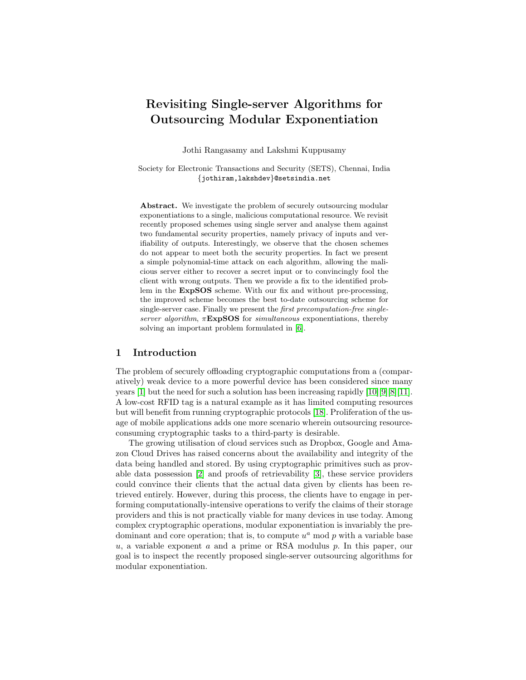# Revisiting Single-server Algorithms for Outsourcing Modular Exponentiation

Jothi Rangasamy and Lakshmi Kuppusamy

Society for Electronic Transactions and Security (SETS), Chennai, India {jothiram,lakshdev}@setsindia.net

Abstract. We investigate the problem of securely outsourcing modular exponentiations to a single, malicious computational resource. We revisit recently proposed schemes using single server and analyse them against two fundamental security properties, namely privacy of inputs and verifiability of outputs. Interestingly, we observe that the chosen schemes do not appear to meet both the security properties. In fact we present a simple polynomial-time attack on each algorithm, allowing the malicious server either to recover a secret input or to convincingly fool the client with wrong outputs. Then we provide a fix to the identified problem in the ExpSOS scheme. With our fix and without pre-processing, the improved scheme becomes the best to-date outsourcing scheme for single-server case. Finally we present the first precomputation-free singleserver algorithm,  $\pi$ **ExpSOS** for simultaneous exponentiations, thereby solving an important problem formulated in [\[6\]](#page-16-0).

# 1 Introduction

The problem of securely offloading cryptographic computations from a (comparatively) weak device to a more powerful device has been considered since many years [\[1\]](#page-15-0) but the need for such a solution has been increasing rapidly  $[10][9][8][11]$  $[10][9][8][11]$  $[10][9][8][11]$  $[10][9][8][11]$ . A low-cost RFID tag is a natural example as it has limited computing resources but will benefit from running cryptographic protocols [\[18\]](#page-17-0). Proliferation of the usage of mobile applications adds one more scenario wherein outsourcing resourceconsuming cryptographic tasks to a third-party is desirable.

The growing utilisation of cloud services such as Dropbox, Google and Amazon Cloud Drives has raised concerns about the availability and integrity of the data being handled and stored. By using cryptographic primitives such as provable data possession [\[2\]](#page-16-5) and proofs of retrievability [\[3\]](#page-16-6), these service providers could convince their clients that the actual data given by clients has been retrieved entirely. However, during this process, the clients have to engage in performing computationally-intensive operations to verify the claims of their storage providers and this is not practically viable for many devices in use today. Among complex cryptographic operations, modular exponentiation is invariably the predominant and core operation; that is, to compute  $u^a$  mod  $p$  with a variable base u, a variable exponent a and a prime or RSA modulus  $p$ . In this paper, our goal is to inspect the recently proposed single-server outsourcing algorithms for modular exponentiation.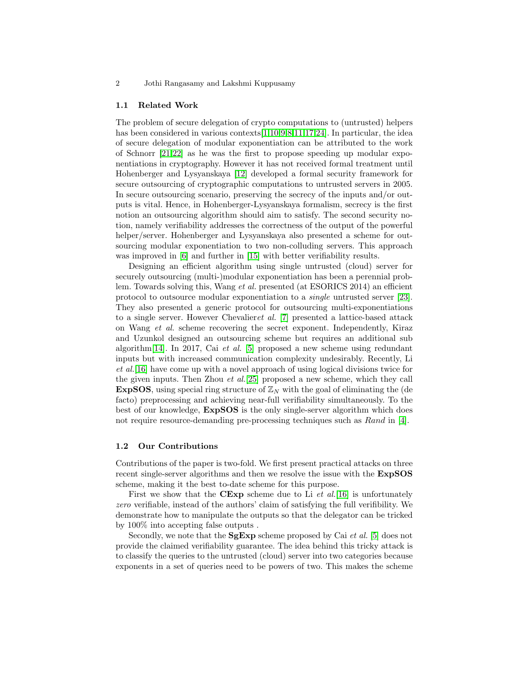2 Jothi Rangasamy and Lakshmi Kuppusamy

## 1.1 Related Work

The problem of secure delegation of crypto computations to (untrusted) helpers has been considered in various contexts [\[1,](#page-15-0)[10,](#page-16-1)[9,](#page-16-2)[8,](#page-16-3)[11](#page-16-4)[,17,](#page-17-1)[24\]](#page-17-2). In particular, the idea of secure delegation of modular exponentiation can be attributed to the work of Schnorr [\[21](#page-17-3)[,22\]](#page-17-4) as he was the first to propose speeding up modular exponentiations in cryptography. However it has not received formal treatment until Hohenberger and Lysyanskaya [\[12\]](#page-16-7) developed a formal security framework for secure outsourcing of cryptographic computations to untrusted servers in 2005. In secure outsourcing scenario, preserving the secrecy of the inputs and/or outputs is vital. Hence, in Hohenberger-Lysyanskaya formalism, secrecy is the first notion an outsourcing algorithm should aim to satisfy. The second security notion, namely verifiability addresses the correctness of the output of the powerful helper/server. Hohenberger and Lysyanskaya also presented a scheme for outsourcing modular exponentiation to two non-colluding servers. This approach was improved in [\[6\]](#page-16-0) and further in [\[15\]](#page-16-8) with better verifiability results.

Designing an efficient algorithm using single untrusted (cloud) server for securely outsourcing (multi-)modular exponentiation has been a perennial problem. Towards solving this, Wang et al. presented (at ESORICS 2014) an efficient protocol to outsource modular exponentiation to a single untrusted server [\[23\]](#page-17-5). They also presented a generic protocol for outsourcing multi-exponentiations to a single server. However Chevalieret al. [\[7\]](#page-16-9) presented a lattice-based attack on Wang et al. scheme recovering the secret exponent. Independently, Kiraz and Uzunkol designed an outsourcing scheme but requires an additional sub algorithm[\[14\]](#page-16-10). In 2017, Cai et al. [\[5\]](#page-16-11) proposed a new scheme using redundant inputs but with increased communication complexity undesirably. Recently, Li et al.[\[16\]](#page-17-6) have come up with a novel approach of using logical divisions twice for the given inputs. Then Zhou et al.[\[25\]](#page-17-7) proposed a new scheme, which they call **ExpSOS**, using special ring structure of  $\mathbb{Z}_N$  with the goal of eliminating the (de facto) preprocessing and achieving near-full verifiability simultaneously. To the best of our knowledge, ExpSOS is the only single-server algorithm which does not require resource-demanding pre-processing techniques such as Rand in [\[4\]](#page-16-12).

## 1.2 Our Contributions

Contributions of the paper is two-fold. We first present practical attacks on three recent single-server algorithms and then we resolve the issue with the ExpSOS scheme, making it the best to-date scheme for this purpose.

First we show that the CExp scheme due to Li  $et$  al. [\[16\]](#page-17-6) is unfortunately zero verifiable, instead of the authors' claim of satisfying the full verifibility. We demonstrate how to manipulate the outputs so that the delegator can be tricked by 100% into accepting false outputs .

Secondly, we note that the  $SgExp$  scheme proposed by Cai *et al.* [\[5\]](#page-16-11) does not provide the claimed verifiability guarantee. The idea behind this tricky attack is to classify the queries to the untrusted (cloud) server into two categories because exponents in a set of queries need to be powers of two. This makes the scheme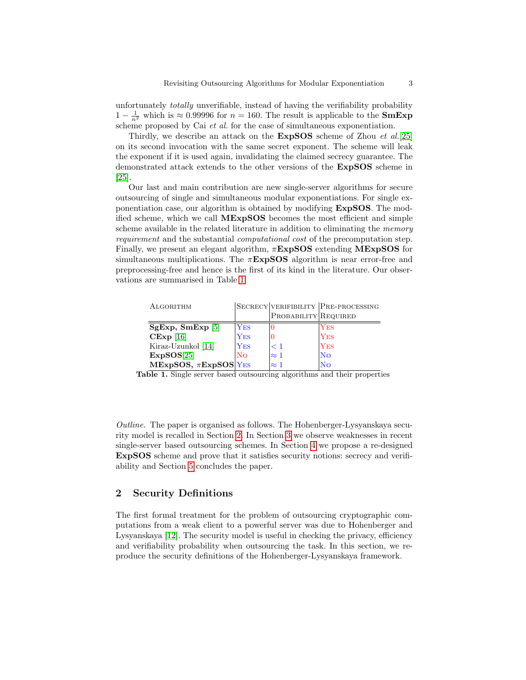unfortunately totally unverifiable, instead of having the verifiability probability  $1 - \frac{1}{n^2}$  which is ≈ 0.99996 for  $n = 160$ . The result is applicable to the **SmExp** scheme proposed by Cai et al. for the case of simultaneous exponentiation.

Thirdly, we describe an attack on the **ExpSOS** scheme of Zhou *et al.*[\[25\]](#page-17-7) on its second invocation with the same secret exponent. The scheme will leak the exponent if it is used again, invalidating the claimed secrecy guarantee. The demonstrated attack extends to the other versions of the ExpSOS scheme in [\[25\]](#page-17-7).

Our last and main contribution are new single-server algorithms for secure outsourcing of single and simultaneous modular exponentiations. For single exponentiation case, our algorithm is obtained by modifying ExpSOS. The modified scheme, which we call MExpSOS becomes the most efficient and simple scheme available in the related literature in addition to eliminating the *memory* requirement and the substantial computational cost of the precomputation step. Finally, we present an elegant algorithm,  $\pi$ **ExpSOS** extending **MExpSOS** for simultaneous multiplications. The  $\pi$ **ExpSOS** algorithm is near error-free and preprocessing-free and hence is the first of its kind in the literature. Our observations are summarised in Table [1.](#page-2-0)

| ALGORITHM                 |             |                      | SECRECY VERIFIBILITY PRE-PROCESSING |
|---------------------------|-------------|----------------------|-------------------------------------|
|                           |             | PROBABILITY REQUIRED |                                     |
| SgExp, SmExp[5]           | <b>YES</b>  |                      | $_{\rm Yes}$                        |
| $CExp$ [16]               | ${\rm Yes}$ |                      | $ {\rm Yes}$                        |
| Kiraz-Uzunkol [14]        | <b>YES</b>  | < 1                  | <b>YES</b>                          |
| ExpSOS[25]                | Nο          | $\approx$ 1          | lNo                                 |
| MExpSOS, $\pi$ ExpSOS YES |             | $\approx 1$          | No                                  |

<span id="page-2-0"></span>Table 1. Single server based outsourcing algorithms and their properties

Outline. The paper is organised as follows. The Hohenberger-Lysyanskaya security model is recalled in Section [2.](#page-2-1) In Section [3](#page-6-0) we observe weaknesses in recent single-server based outsourcing schemes. In Section [4](#page-11-0) we propose a re-designed ExpSOS scheme and prove that it satisfies security notions: secrecy and verifiability and Section [5](#page-15-1) concludes the paper.

# <span id="page-2-1"></span>2 Security Definitions

The first formal treatment for the problem of outsourcing cryptographic computations from a weak client to a powerful server was due to Hohenberger and Lysyanskaya [\[12\]](#page-16-7). The security model is useful in checking the privacy, efficiency and verifiability probability when outsourcing the task. In this section, we reproduce the security definitions of the Hohenberger-Lysyanskaya framework.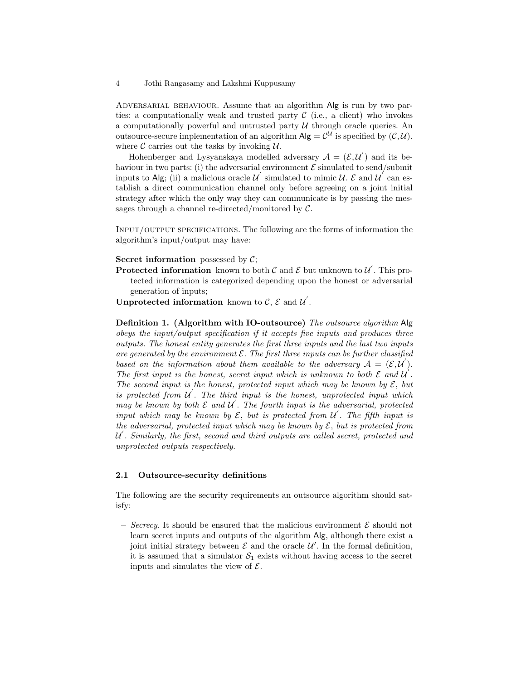ADVERSARIAL BEHAVIOUR. Assume that an algorithm Alg is run by two parties: a computationally weak and trusted party  $\mathcal C$  (i.e., a client) who invokes a computationally powerful and untrusted party  $U$  through oracle queries. An outsource-secure implementation of an algorithm  $\mathsf{Alg} = \mathcal{C}^{\mathcal{U}}$  is specified by  $(\mathcal{C}, \mathcal{U})$ . where  $\mathcal C$  carries out the tasks by invoking  $\mathcal U$ .

Hohenberger and Lysyanskaya modelled adversary  $A = (\mathcal{E}, \mathcal{U}')$  and its behaviour in two parts: (i) the adversarial environment  $\mathcal E$  simulated to send/submit inputs to Alg; (ii) a malicious oracle  $\mathcal{U}'$  simulated to mimic  $\mathcal{U}$ . E and  $\mathcal{U}'$  can establish a direct communication channel only before agreeing on a joint initial strategy after which the only way they can communicate is by passing the messages through a channel re-directed/monitored by  $C$ .

Input/output specifications. The following are the forms of information the algorithm's input/output may have:

Secret information possessed by  $C$ ;

**Protected information** known to both  $\mathcal C$  and  $\mathcal E$  but unknown to  $\mathcal U$ . This protected information is categorized depending upon the honest or adversarial generation of inputs;

Unprotected information known to  $\mathcal{C}, \mathcal{E}$  and  $\mathcal{U}'$ .

Definition 1. (Algorithm with IO-outsource) The outsource algorithm Alg obeys the input/output specification if it accepts five inputs and produces three outputs. The honest entity generates the first three inputs and the last two inputs are generated by the environment  $\mathcal E$ . The first three inputs can be further classified based on the information about them available to the adversary  $A = (\mathcal{E}, \mathcal{U}')$ . The first input is the honest, secret input which is unknown to both  $\mathcal E$  and  $\mathcal U$ . The second input is the honest, protected input which may be known by  $\mathcal{E}$ , but is protected from  $\mathcal{U}'$ . The third input is the honest, unprotected input which may be known by both  $\mathcal E$  and  $\mathcal U'$ . The fourth input is the adversarial, protected input which may be known by  $\mathcal{E}$ , but is protected from  $\mathcal{U}'$ . The fifth input is the adversarial, protected input which may be known by  $\mathcal{E}$ , but is protected from  $\mathcal{U}$ . Similarly, the first, second and third outputs are called secret, protected and unprotected outputs respectively.

## 2.1 Outsource-security definitions

The following are the security requirements an outsource algorithm should satisfy:

– Secrecy. It should be ensured that the malicious environment  $\mathcal E$  should not learn secret inputs and outputs of the algorithm Alg, although there exist a joint initial strategy between  $\mathcal E$  and the oracle  $\mathcal U'$ . In the formal definition, it is assumed that a simulator  $S_1$  exists without having access to the secret inputs and simulates the view of  $\mathcal{E}$ .

<sup>4</sup> Jothi Rangasamy and Lakshmi Kuppusamy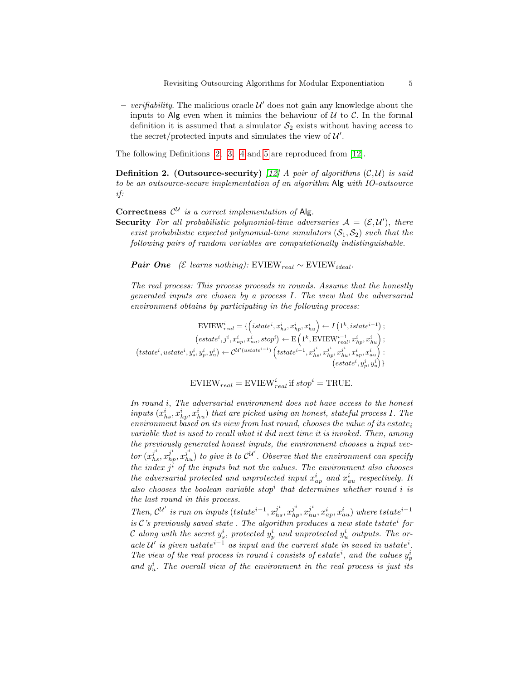– verifiability. The malicious oracle  $\mathcal{U}'$  does not gain any knowledge about the inputs to Alg even when it mimics the behaviour of  $U$  to  $C$ . In the formal definition it is assumed that a simulator  $S_2$  exists without having access to the secret/protected inputs and simulates the view of  $\mathcal{U}'$ .

<span id="page-4-0"></span>The following Definitions [2,](#page-4-0) [3,](#page-5-0) [4](#page-5-1) and [5](#page-6-1) are reproduced from [\[12\]](#page-16-7).

**Definition 2.** (Outsource-security) [\[12\]](#page-16-7) A pair of algorithms  $(C, U)$  is said to be an outsource-secure implementation of an algorithm Alg with IO-outsource if:

# Correctness  $\mathcal{C}^{\mathcal{U}}$  is a correct implementation of Alg.

**Security** For all probabilistic polynomial-time adversaries  $A = (\mathcal{E}, \mathcal{U}')$ , there exist probabilistic expected polynomial-time simulators  $(S_1, S_2)$  such that the following pairs of random variables are computationally indistinguishable.

Pair One (*E* learns nothing): EVIEW<sub>real</sub> ∼ EVIEW<sub>ideal</sub>.

The real process: This process proceeds in rounds. Assume that the honestly generated inputs are chosen by a process I. The view that the adversarial environment obtains by participating in the following process:

$$
\begin{aligned} \text{EVIEW}^i_{real} &= \{\left( istate^i, x^i_{hs}, x^i_{hp}, x^i_{hu}\right) \leftarrow I\left(1^k, istate^{i-1}\right);\\ &\left( estate^i, j^i, x^i_{ap}, x^i_{au}, stop^i\right) \leftarrow \text{E}\left(1^k, \text{EVIEW}^{i-1}_{real}, x^i_{hp}, x^i_{hu}\right);\\ &\left( tstate^i, ustate^i, y^i_s, y^i_p, y^i_u\right) \leftarrow \mathcal{C}^{\mathcal{U}'(ustate^{i-1})}\left( tstate^{i-1}, x^{j^i}_{hs}, x^{j^i}_{hp}, x^j_{hu}, x^i_{ap}, x^i_{au}\right):\\ &\left( estate^i, y^i_p, y^i_u\right)\} \end{aligned}
$$

$$
EVIEW_{real} = EVIEW_{real}^{i}
$$
 if  $stop^{i} = TRUE$ .

In round i, The adversarial environment does not have access to the honest inputs  $(x_{hs}^i, x_{hp}^i, x_{hu}^i)$  that are picked using an honest, stateful process I. The environment based on its view from last round, chooses the value of its estate<sub>i</sub> variable that is used to recall what it did next time it is invoked. Then, among the previously generated honest inputs, the environment chooses a input vector  $(x_{hs}^{j^i}, x_{hp}^{j^i}, x_{hu}^{j^i})$  to give it to  $\mathcal{C}^{\mathcal{U}'}$ . Observe that the environment can specify the index  $j^i$  of the inputs but not the values. The environment also chooses the adversarial protected and unprotected input  $x_{ap}^i$  and  $x_{au}^i$  respectively. It also chooses the boolean variable stop<sup>i</sup> that determines whether round i is the last round in this process.

Then,  $\mathcal{C}^{\mathcal{U}'}$  is run on inputs  $(tstate^{i-1}, x_{hs}^{j^i}, x_{hp}^{j^i}, x_{hu}^{j^i}, x_{ap}^i, x_{au}^i)$  where  $tstate^{i-1}$ is  $\mathcal{C}'$  is previously saved state. The algorithm produces a new state tstate<sup>i</sup> for C along with the secret  $y_s^i$ , protected  $y_p^i$  and unprotected  $y_u^i$  outputs. The oracle U' is given ustate<sup>*i*-1</sup> as input and the current state in saved in ustate<sup>*i*</sup>. The view of the real process in round i consists of estate<sup>*i*</sup>, and the values  $y_p^i$ and  $y_u^i$ . The overall view of the environment in the real process is just its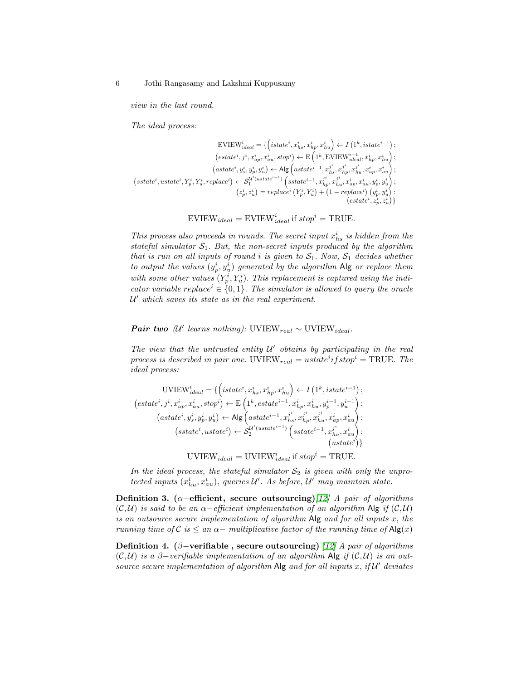view in the last round.

The ideal process:

$$
\begin{split} \text{EVIEW}^{i}_{ideal} &= \{ \left( istate^{i}, x^{i}_{hs}, x^{i}_{hp}, x^{i}_{hu} \right) \leftarrow I\left( 1^{k}, istate^{i-1} \right) ; \\ & \left( estate^{i}, j^{i}, x^{i}_{ap}, x^{i}_{au}, stop^{i} \right) \leftarrow \text{E}\left( 1^{k}, \text{EVIEW}^{i-1}_{ideal}, x^{i}_{hp}, x^{i}_{hu} \right) ; \\ & \left( astate^{i}, y^{i}_{s}, y^{i}_{p}, y^{i}_{u} \right) \leftarrow \text{Alg}\left( astate^{i-1}, x^{j^{i}}_{hs}, x^{j^{i}}_{hp}, x^{i}_{hu}, x^{i}_{ap}, x^{i}_{au} \right) ; \\ & \left( sstate^{i}, ustate^{i}, Y^{i}_{p}, Y^{i}_{u}, replace^{i}) \leftarrow \mathcal{S}^{l^{\prime}(ustate^{i-1})}_{1} \left( sstate^{i-1}, x^{j^{i}}_{hp}, x^{j^{i}}_{hu}, x^{i}_{ap}, x^{i}_{au}, y^{i}_{p}, y^{i}_{u} \right) ; \\ & \left( z^{i}_{p}, z^{i}_{u} \right) = replace^{i}\left( Y^{i}_{p}, Y^{i}_{u} \right) + \left( 1 - replace^{i} \right) \left( y^{i}_{p}, y^{i}_{u} \right) : \\ & \left( estate^{i}, z^{i}_{p}, z^{i}_{u} \right) \right) \end{split}
$$

$$
EVIEW_{ideal} = EVIEW_{ideal}^{i} \text{ if } stop^{i} = TRUE.
$$

This process also proceeds in rounds. The secret input  $x_{hs}^i$  is hidden from the stateful simulator  $S_1$ . But, the non-secret inputs produced by the algorithm that is run on all inputs of round i is given to  $S_1$ . Now,  $S_1$  decides whether to output the values  $(y_p^i, y_u^i)$  generated by the algorithm Alg or replace them with some other values  $(Y_p^i, Y_u^i)$ . This replacement is captured using the indicator variable replace<sup>*i*</sup>  $\in \{0, 1\}$ . The simulator is allowed to query the oracle U <sup>0</sup> which saves its state as in the real experiment.

**Pair two** (U' learns nothing): UVIEW<sub>real</sub> ~ UVIEW<sub>ideal</sub>.

The view that the untrusted entity  $U'$  obtains by participating in the real process is described in pair one. UVIEW<sub>real</sub> =  $ustate<sup>i</sup>$  if stop<sup>i</sup> = TRUE. The ideal process:

$$
\begin{aligned} \text{UVIEW}_{ideal}^{i} &= \{ \left( istate^{i}, x_{hs}^{i}, x_{hp}^{i}, x_{hu}^{i} \right) \leftarrow I\left( 1^{k}, istate^{i-1} \right) ; \\ (estate^{i}, j^{i}, x_{ap}^{i}, x_{au}^{i}, stop^{i}) \leftarrow \text{E}\left( 1^{k}, estate^{i-1}, x_{hp}^{i}, x_{hu}^{i}, y_{p}^{i-1}, y_{u}^{i-1} \right) ; \\ (astate^{i}, y_{s}^{i}, y_{p}^{i}, y_{u}^{i}) \leftarrow \text{Alg}\left( astate^{i-1}, x_{hs}^{j^{i}}, x_{hp}^{j^{i}}, x_{hu}^{i}, x_{ap}^{i}, x_{au}^{i} \right) ; \\ (sstate^{i}, ustate^{i}) \leftarrow S_{2}^{U'(ustate^{i-1})}\left( sstate^{i-1}, x_{hu}^{j^{i}}, x_{au}^{i} \right) ; \\ (ustate^{i}) \} \end{aligned}
$$

UVIEW<sub>ideal</sub> = UVIEW<sup>*i*</sup><sub>ideal</sub> if 
$$
stop^i
$$
 = TRUE.

In the ideal process, the stateful simulator  $S_2$  is given with only the unprotected inputs  $(x_{hu}^i, x_{au}^i)$ , queries  $\mathcal{U}'$ . As before,  $\mathcal{U}'$  may maintain state.

<span id="page-5-0"></span>Definition 3. ( $\alpha$ –efficient, secure outsourcing)[\[12\]](#page-16-7) A pair of algorithms  $(C, U)$  is said to be an  $\alpha$ -efficient implementation of an algorithm Alg if  $(C, U)$ is an outsource secure implementation of algorithm Alg and for all inputs x, the running time of C is  $\leq$  an  $\alpha$  – multiplicative factor of the running time of Alg(x)

<span id="page-5-1"></span>Definition 4. ( $\beta$ -verifiable, secure outsourcing) [\[12\]](#page-16-7) A pair of algorithms  $(C, U)$  is a β-verifiable implementation of an algorithm Alg if  $(C, U)$  is an outsource secure implementation of algorithm Alg and for all inputs  $x$ , if  $\mathcal{U}'$  deviates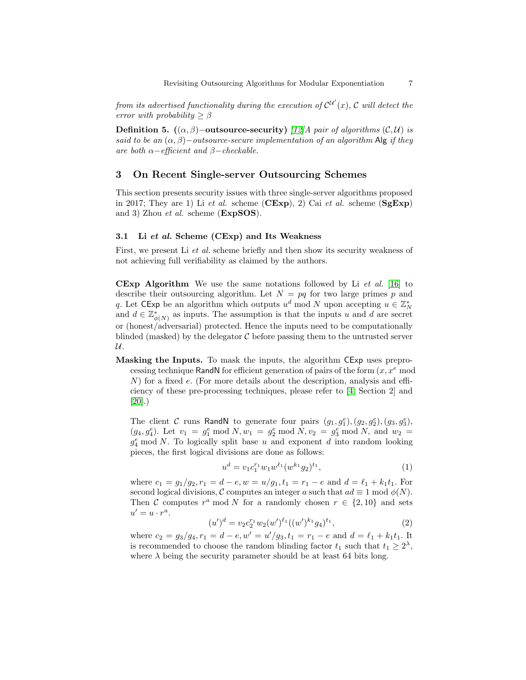from its advertised functionality during the execution of  $\mathcal{C}^{\mathcal{U}'}(x)$ , C will detect the error with probability  $\geq \beta$ 

<span id="page-6-1"></span>Definition 5.  $((\alpha, \beta)$ −outsource-security) [\[12\]](#page-16-7)A pair of algorithms (C,U) is said to be an  $(\alpha, \beta)$ −outsource-secure implementation of an algorithm Alg if they are both  $\alpha$ -efficient and  $\beta$ -checkable.

# <span id="page-6-0"></span>3 On Recent Single-server Outsourcing Schemes

This section presents security issues with three single-server algorithms proposed in 2017; They are 1) Li et al. scheme  $(CExp)$ , 2) Cai et al. scheme  $(SgExp)$ and 3) Zhou et al. scheme (ExpSOS).

## 3.1 Li et al. Scheme (CExp) and Its Weakness

First, we present Li et al. scheme briefly and then show its security weakness of not achieving full verifiability as claimed by the authors.

**CExp Algorithm** We use the same notations followed by Li  $et$  al. [\[16\]](#page-17-6) to describe their outsourcing algorithm. Let  $N = pq$  for two large primes p and q. Let  $\mathsf{CExp}$  be an algorithm which outputs  $u^d \bmod N$  upon accepting  $u \in \mathbb{Z}_N^*$ and  $d \in \mathbb{Z}_{\phi(N)}^{*}$  as inputs. The assumption is that the inputs u and d are secret or (honest/adversarial) protected. Hence the inputs need to be computationally blinded (masked) by the delegator  $\mathcal C$  before passing them to the untrusted server U.

Masking the Inputs. To mask the inputs, the algorithm CExp uses preprocessing technique RandN for efficient generation of pairs of the form  $(x, x<sup>e</sup> \mod$ N) for a fixed e. (For more details about the description, analysis and efficiency of these pre-processing techniques, please refer to [\[4,](#page-16-12) Section 2] and [\[20\]](#page-17-8).)

The client C runs RandN to generate four pairs  $(g_1, g_1^e), (g_2, g_2^e), (g_3, g_3^e),$  $(g_4, g_4^e)$ . Let  $v_1 = g_1^e \bmod N$ ,  $w_1 = g_2^e \bmod N$ ,  $v_2 = g_3^e \bmod N$ , and  $w_2 =$  $g_4^e$  mod N. To logically split base u and exponent d into random looking pieces, the first logical divisions are done as follows:

$$
u^{d} = v_{1}c_{1}^{r_{1}}w_{1}w^{\ell_{1}}(w^{k_{1}}g_{2})^{t_{1}}, \qquad (1)
$$

where  $c_1 = g_1/g_2, r_1 = d - e, w = u/g_1, t_1 = r_1 - e$  and  $d = \ell_1 + k_1t_1$ . For second logical divisions, C computes an integer a such that  $ad \equiv 1 \mod \phi(N)$ . Then C computes  $r^a$  mod N for a randomly chosen  $r \in \{2, 10\}$  and sets  $u' = u \cdot r^a.$ 

$$
(u')d = v2c2r1w2(w')l1((w')k1g4)t1,
$$
\n(2)

where  $c_2 = g_3/g_4, r_1 = d - e, w' = u'/g_3, t_1 = r_1 - e$  and  $d = \ell_1 + k_1t_1$ . It is recommended to choose the random blinding factor  $t_1$  such that  $t_1 \geq 2^{\lambda}$ , where  $\lambda$  being the security parameter should be at least 64 bits long.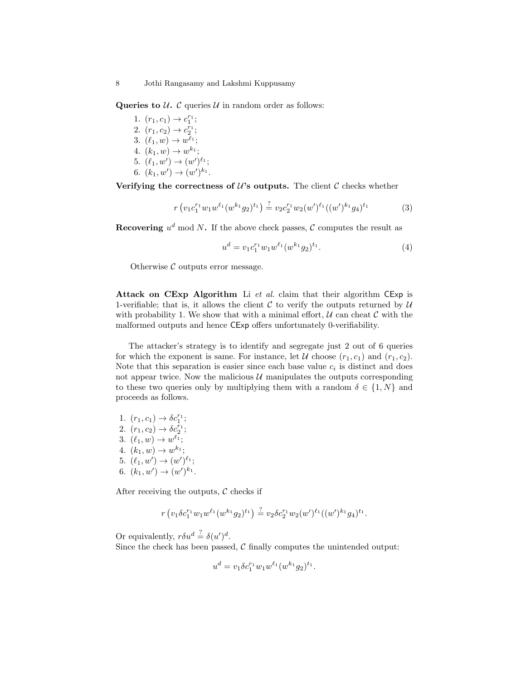Queries to  $U$ . C queries  $U$  in random order as follows:

1.  $(r_1, c_1) \rightarrow c_1^{r_1};$ 2.  $(r_1, c_2) \rightarrow c_2^{r_1};$ 3.  $(\ell_1, w) \to w^{\ell_1};$ 4.  $(k_1, w) \to w^{k_1};$ 5.  $(\ell_1, w') \to (w')^{\ell_1};$ 6.  $(k_1, w') \to (w')^{k_1}$ .

Verifying the correctness of  $\mathcal{U}$ 's outputs. The client  $\mathcal{C}$  checks whether

$$
r(v_1c_1^{r_1}w_1w^{\ell_1}(w^{k_1}g_2)^{t_1}) \stackrel{?}{=} v_2c_2^{r_1}w_2(w')^{\ell_1}((w')^{k_1}g_4)^{t_1}
$$
 (3)

Recovering  $u^d$  mod N. If the above check passes, C computes the result as

$$
u^{d} = v_{1}c_{1}^{r_{1}}w_{1}w^{\ell_{1}}(w^{k_{1}}g_{2})^{t_{1}}.
$$
\n
$$
(4)
$$

Otherwise  $\mathcal C$  outputs error message.

Attack on CExp Algorithm Li et al. claim that their algorithm CExp is 1-verifiable; that is, it allows the client  $\mathcal C$  to verify the outputs returned by  $\mathcal U$ with probability 1. We show that with a minimal effort,  $U$  can cheat  $C$  with the malformed outputs and hence CExp offers unfortunately 0-verifiability.

The attacker's strategy is to identify and segregate just 2 out of 6 queries for which the exponent is same. For instance, let U choose  $(r_1, c_1)$  and  $(r_1, c_2)$ . Note that this separation is easier since each base value  $c_i$  is distinct and does not appear twice. Now the malicious  $U$  manipulates the outputs corresponding to these two queries only by multiplying them with a random  $\delta \in \{1, N\}$  and proceeds as follows.

1.  $(r_1, c_1) \to \delta c_1^{r_1};$ 2.  $(r_1, c_2) \to \delta c_2^{r_1};$ 3.  $(\ell_1, w) \to w^{\ell_1};$ 4.  $(k_1, w) \to w^{k_1}$ ; 5.  $(\ell_1, w') \to (w')^{\ell_1};$ 6.  $(k_1, w') \to (w')^{k_1}$ .

After receiving the outputs,  $\mathcal C$  checks if

$$
r\left(v_1\delta c_1^{r_1}w_1w^{\ell_1}(w^{k_1}g_2)^{t_1}\right)\stackrel{?}{=}v_2\delta c_2^{r_1}w_2(w')^{\ell_1}((w')^{k_1}g_4)^{t_1}.
$$

Or equivalently,  $r\delta u^d \stackrel{?}{=} \delta (u')^d$ .

Since the check has been passed,  $\mathcal C$  finally computes the unintended output:

$$
u^{d} = v_1 \delta c_1^{r_1} w_1 w^{\ell_1} (w^{k_1} g_2)^{t_1}.
$$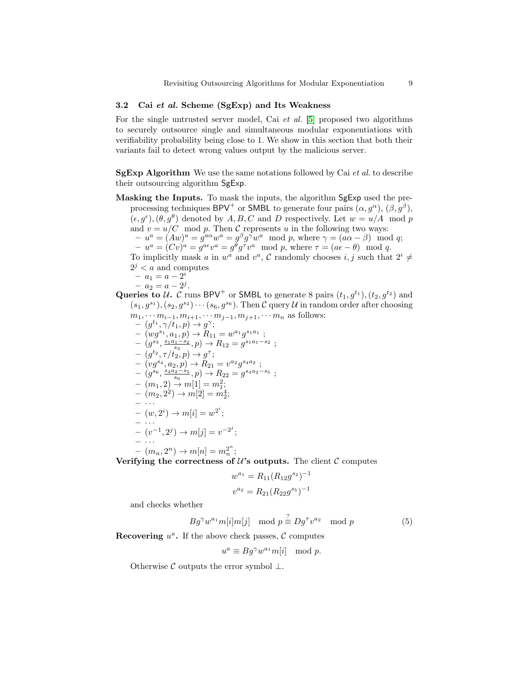## 3.2 Cai et al. Scheme (SgExp) and Its Weakness

For the single untrusted server model, Cai *et al.* [\[5\]](#page-16-11) proposed two algorithms to securely outsource single and simultaneous modular exponentiations with verifiability probability being close to 1. We show in this section that both their variants fail to detect wrong values output by the malicious server.

 $SgExp$  Algorithm We use the same notations followed by Cai *et al.* to describe their outsourcing algorithm SgExp.

Masking the Inputs. To mask the inputs, the algorithm SgExp used the preprocessing techniques BPV<sup>+</sup> or SMBL to generate four pairs  $(\alpha, g^{\alpha})$ ,  $(\beta, g^{\beta})$ ,  $(\epsilon, g^{\epsilon}),(\theta, g^{\theta})$  denoted by A, B, C and D respectively. Let  $w = u/A \mod p$ and  $v = u/C \mod p$ . Then C represents u in the following two ways:  $-u^a = (Aw)^a = g^{a\alpha}w^a = g^{\beta}g^{\gamma}w^a \mod p$ , where  $\gamma = (a\alpha - \beta) \mod q$ ;  $-u^a = (Cv)^a = g^{a\epsilon}v^a = g^{\theta}g^{\tau}v^a \mod p$ , where  $\tau = (a\epsilon - \theta) \mod q$ . To implicitly mask a in  $w^a$  and  $v^a$ , C randomly chooses i, j such that  $2^i \neq$  $2^j < a$  and computes  $- a_1 = a - 2^i$  $- a_2 = a - 2^j$ . Queries to U. C runs BPV<sup>+</sup> or SMBL to generate 8 pairs  $(t_1, g^{t_1})$ ,  $(t_2, g^{t_2})$  and

 $(s_1, g^{s_1}), (s_2, g^{s_2}) \cdots (s_6, g^{s_6})$ . Then C query U in random order after choosing  $m_1, \cdots m_{i-1}, m_{i+1}, \cdots m_{j-1}, m_{j+1}, \cdots m_n$  as follows:  $(g^{t_1}, \gamma/t_1, p) \rightarrow g^{\gamma};$  $- (wg^{s_1}, a_1, p) \rightarrow R_{11} = w^{a_1}g^{s_1a_1}$ ;  $(g^{s_3}, \frac{s_1a_1-s_2}{s_3}, p)$  →  $R_{12} = g^{s_1a_1-s_2}$ ;  $- (g^{t_2}, \tau/\tilde{t_2}, p) \to g^{\tau};$  $- (vg^{s_4}, a_2, p) \rightarrow R_{21} = v^{a_2} g^{s_4 a_2}$ ;  $(g^{s_6}, \frac{s_4a_2-s_5}{s_6}, p)$  →  $R_{22} = g^{s_4a_2-s_5}$ ;  $(m_1, 2) \rightarrow m[1] = m_1^2;$  $- (m_2, 2^2) \rightarrow m[2] = m_2^4;$  $- \cdot \cdot \cdot$  $- (w, 2^i) \rightarrow m[i] = w^{2^i};$  $\cdots$  $- (v^{-1}, 2^j) \rightarrow m[j] = v^{-2^j};$  $- \cdot \cdot \cdot$  $- (m_n, 2^n) \to m[n] = m_n^{2^n};$ 

Verifying the correctness of  $\mathcal{U}$ 's outputs. The client  $\mathcal{C}$  computes

$$
w^{a_1} = R_{11}(R_{12}g^{s_2})^{-1}
$$
  

$$
v^{a_2} = R_{21}(R_{22}g^{s_5})^{-1}
$$

and checks whether

$$
Bg^{\gamma}w^{a_1}m[i]m[j] \mod p \stackrel{?}{\equiv} Dg^{\tau}v^{a_2} \mod p \tag{5}
$$

Recovering  $u^a$ . If the above check passes,  $\mathcal C$  computes

$$
u^a \equiv Bg^{\gamma}w^{a_1}m[i] \mod p.
$$

Otherwise  $\mathcal C$  outputs the error symbol  $\bot$ .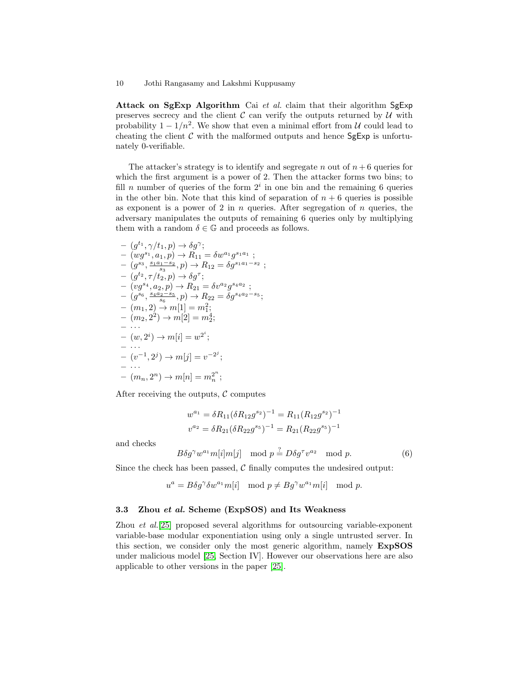Attack on SgExp Algorithm Cai et al. claim that their algorithm SgExp preserves secrecy and the client  $\mathcal C$  can verify the outputs returned by  $\mathcal U$  with probability  $1 - 1/n^2$ . We show that even a minimal effort from U could lead to cheating the client  $C$  with the malformed outputs and hence  $SgExp$  is unfortunately 0-verifiable.

The attacker's strategy is to identify and segregate n out of  $n + 6$  queries for which the first argument is a power of 2. Then the attacker forms two bins; to fill *n* number of queries of the form  $2<sup>i</sup>$  in one bin and the remaining 6 queries in the other bin. Note that this kind of separation of  $n + 6$  queries is possible as exponent is a power of 2 in  $n$  queries. After segregation of  $n$  queries, the adversary manipulates the outputs of remaining 6 queries only by multiplying them with a random  $\delta \in \mathbb{G}$  and proceeds as follows.

$$
- (g^{t_1}, \gamma/t_1, p) \rightarrow \delta g^{\gamma};
$$
  
\n
$$
- (wg^{s_1}, a_1, p) \rightarrow R_{11} = \delta w^{a_1} g^{s_1 a_1};
$$
  
\n
$$
- (g^{s_3}, \frac{s_1 a_1 - s_2}{s_3}, p) \rightarrow R_{12} = \delta g^{s_1 a_1 - s_2};
$$
  
\n
$$
- (g^{t_2}, \tau/t_2, p) \rightarrow \delta g^{\tau};
$$
  
\n
$$
- (vg^{s_4}, a_2, p) \rightarrow R_{21} = \delta v^{a_2} g^{s_4 a_2};
$$
  
\n
$$
- (g^{s_6}, \frac{s_4 a_2 - s_5}{s_6}, p) \rightarrow R_{22} = \delta g^{s_4 a_2 - s_5};
$$
  
\n
$$
- (m_1, 2) \rightarrow m[1] = m_1^2;
$$
  
\n
$$
- (m_2, 2^2) \rightarrow m[2] = m_2^4;
$$
  
\n
$$
- \cdots
$$
  
\n
$$
- (w, 2^i) \rightarrow m[j] = w^{2^i};
$$
  
\n
$$
- (v^{-1}, 2^j) \rightarrow m[n] = v^{2^n};
$$
  
\n
$$
- (m_n, 2^n) \rightarrow m[n] = m_n^{2^n};
$$

After receiving the outputs,  $\mathcal C$  computes

$$
w^{a_1} = \delta R_{11} (\delta R_{12} g^{s_2})^{-1} = R_{11} (R_{12} g^{s_2})^{-1}
$$
  

$$
v^{a_2} = \delta R_{21} (\delta R_{22} g^{s_5})^{-1} = R_{21} (R_{22} g^{s_5})^{-1}
$$

and checks

$$
B\delta g^{\gamma}w^{a_1}m[i]m[j] \mod p \stackrel{?}{=} D\delta g^{\tau}v^{a_2} \mod p. \tag{6}
$$

Since the check has been passed,  $C$  finally computes the undesired output:

$$
u^{a} = B\delta g^{\gamma} \delta w^{a_{1}} m[i] \mod p \neq Bg^{\gamma} w^{a_{1}} m[i] \mod p.
$$

#### 3.3 Zhou et al. Scheme (ExpSOS) and Its Weakness

Zhou et al.[\[25\]](#page-17-7) proposed several algorithms for outsourcing variable-exponent variable-base modular exponentiation using only a single untrusted server. In this section, we consider only the most generic algorithm, namely ExpSOS under malicious model [\[25,](#page-17-7) Section IV]. However our observations here are also applicable to other versions in the paper [\[25\]](#page-17-7).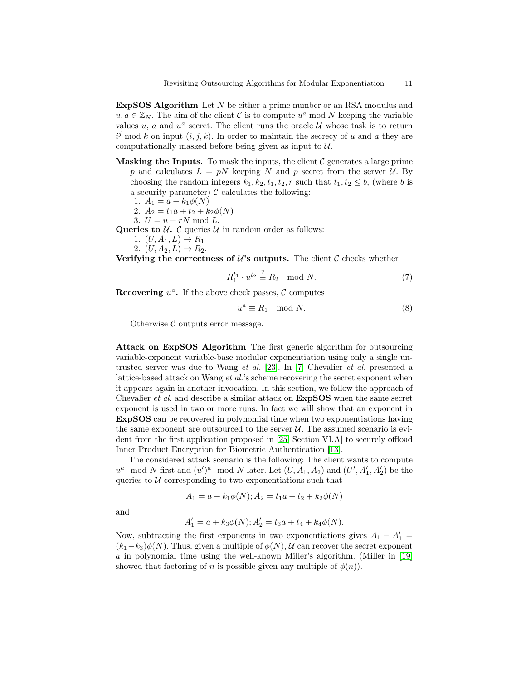ExpSOS Algorithm Let N be either a prime number or an RSA modulus and  $u, a \in \mathbb{Z}_N$ . The aim of the client C is to compute  $u^a$  mod N keeping the variable values  $u, a$  and  $u^a$  secret. The client runs the oracle  $\mathcal U$  whose task is to return  $i^j$  mod k on input  $(i, j, k)$ . In order to maintain the secrecy of u and a they are computationally masked before being given as input to  $U$ .

- **Masking the Inputs.** To mask the inputs, the client  $\mathcal{C}$  generates a large prime p and calculates  $L = pN$  keeping N and p secret from the server U. By choosing the random integers  $k_1, k_2, t_1, t_2, r$  such that  $t_1, t_2 \leq b$ , (where b is a security parameter)  $\mathcal C$  calculates the following:
	- 1.  $A_1 = a + k_1 \phi(N)$
	- 2.  $A_2 = t_1 a + t_2 + k_2 \phi(N)$
	- 3.  $U = u + rN \mod L$ .

Queries to  $U$ . C queries  $U$  in random order as follows:

- 1.  $(U, A_1, L) \to R_1$
- 2.  $(U, A_2, L) \to R_2$ .

Verifying the correctness of  $\mathcal{U}'$ s outputs. The client  $\mathcal{C}$  checks whether

$$
R_1^{t_1} \cdot u^{t_2} \stackrel{?}{\equiv} R_2 \mod N. \tag{7}
$$

Recovering  $u^a$ . If the above check passes,  $\mathcal C$  computes

$$
u^a \equiv R_1 \mod N. \tag{8}
$$

Otherwise  $\mathcal C$  outputs error message.

<span id="page-10-0"></span>Attack on ExpSOS Algorithm The first generic algorithm for outsourcing variable-exponent variable-base modular exponentiation using only a single untrusted server was due to Wang et al. [\[23\]](#page-17-5). In [\[7\]](#page-16-9) Chevalier et al. presented a lattice-based attack on Wang et al.'s scheme recovering the secret exponent when it appears again in another invocation. In this section, we follow the approach of Chevalier et al. and describe a similar attack on ExpSOS when the same secret exponent is used in two or more runs. In fact we will show that an exponent in ExpSOS can be recovered in polynomial time when two exponentiations having the same exponent are outsourced to the server  $U$ . The assumed scenario is evident from the first application proposed in [\[25,](#page-17-7) Section VI.A] to securely offload Inner Product Encryption for Biometric Authentication [\[13\]](#page-16-13).

The considered attack scenario is the following: The client wants to compute  $u^a \mod N$  first and  $(u')^a \mod N$  later. Let  $(U, A_1, A_2)$  and  $(U', A'_1, A'_2)$  be the queries to  $U$  corresponding to two exponentiations such that

$$
A_1 = a + k_1 \phi(N); A_2 = t_1 a + t_2 + k_2 \phi(N)
$$

and

$$
A'_1 = a + k_3 \phi(N); A'_2 = t_3 a + t_4 + k_4 \phi(N).
$$

Now, subtracting the first exponents in two exponentiations gives  $A_1 - A'_1 =$  $(k_1-k_3)\phi(N)$ . Thus, given a multiple of  $\phi(N)$ , U can recover the secret exponent a in polynomial time using the well-known Miller's algorithm. (Miller in [\[19\]](#page-17-9) showed that factoring of n is possible given any multiple of  $\phi(n)$ .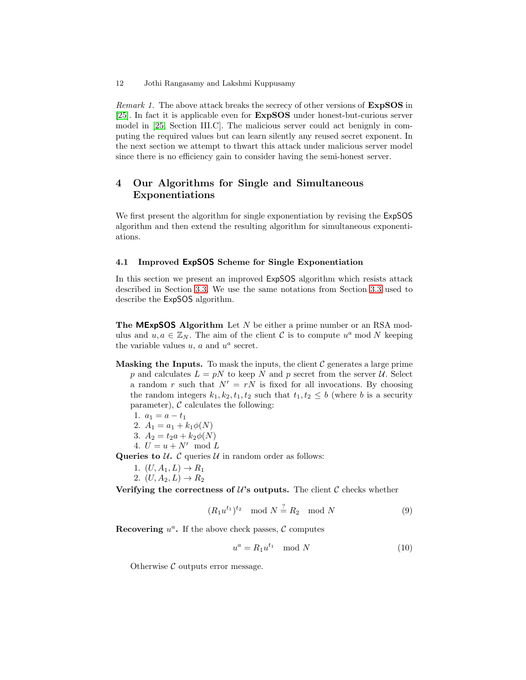Remark 1. The above attack breaks the secrecy of other versions of **ExpSOS** in [\[25\]](#page-17-7). In fact it is applicable even for ExpSOS under honest-but-curious server model in [\[25,](#page-17-7) Section III.C]. The malicious server could act benignly in computing the required values but can learn silently any reused secret exponent. In the next section we attempt to thwart this attack under malicious server model since there is no efficiency gain to consider having the semi-honest server.

# <span id="page-11-0"></span>4 Our Algorithms for Single and Simultaneous Exponentiations

We first present the algorithm for single exponentiation by revising the ExpSOS algorithm and then extend the resulting algorithm for simultaneous exponentiations.

## 4.1 Improved ExpSOS Scheme for Single Exponentiation

In this section we present an improved ExpSOS algorithm which resists attack described in Section [3.3.](#page-10-0) We use the same notations from Section [3.3](#page-10-0) used to describe the ExpSOS algorithm.

**The MExpSOS Algorithm** Let  $N$  be either a prime number or an RSA modulus and  $u, a \in \mathbb{Z}_N$ . The aim of the client C is to compute  $u^a$  mod N keeping the variable values  $u, a$  and  $u^a$  secret.

**Masking the Inputs.** To mask the inputs, the client  $\mathcal{C}$  generates a large prime p and calculates  $L = pN$  to keep N and p secret from the server U. Select a random r such that  $N' = rN$  is fixed for all invocations. By choosing the random integers  $k_1, k_2, t_1, t_2$  such that  $t_1, t_2 \leq b$  (where b is a security parameter),  $\mathcal C$  calculates the following:

$$
1. \, a_1 = a - t_1
$$

- 2.  $A_1 = a_1 + k_1 \phi(N)$
- 3.  $A_2 = t_2 a + k_2 \phi(N)$
- 4.  $U = u + N' \mod L$

Queries to  $U$ . C queries  $U$  in random order as follows:

- 1.  $(U, A_1, L) \to R_1$
- 2.  $(U, A_2, L) \to R_2$

Verifying the correctness of  $\mathcal{U}$ 's outputs. The client  $\mathcal{C}$  checks whether

$$
(R_1 u^{t_1})^{t_2} \mod N \stackrel{?}{=} R_2 \mod N \tag{9}
$$

Recovering  $u^a$ . If the above check passes,  $\mathcal C$  computes

$$
u^a = R_1 u^{t_1} \mod N \tag{10}
$$

Otherwise  $\mathcal C$  outputs error message.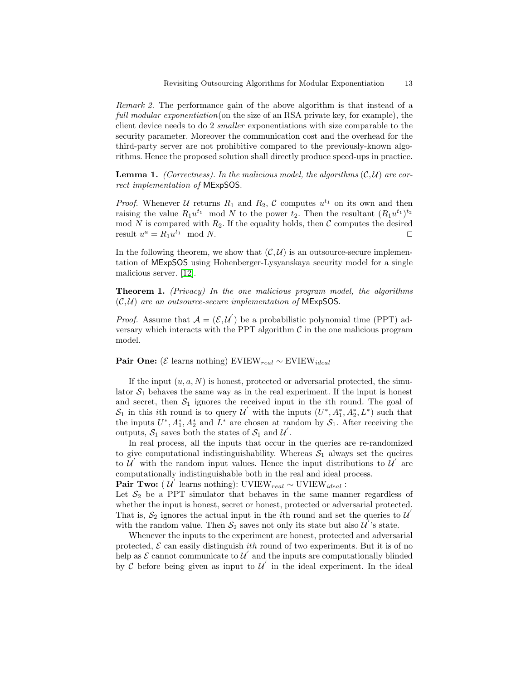Remark 2. The performance gain of the above algorithm is that instead of a full modular exponentiation (on the size of an RSA private key, for example), the client device needs to do 2 smaller exponentiations with size comparable to the security parameter. Moreover the communication cost and the overhead for the third-party server are not prohibitive compared to the previously-known algorithms. Hence the proposed solution shall directly produce speed-ups in practice.

**Lemma 1.** (Correctness). In the malicious model, the algorithms  $(C, U)$  are correct implementation of MExpSOS.

*Proof.* Whenever U returns  $R_1$  and  $R_2$ , C computes  $u^{t_1}$  on its own and then raising the value  $R_1u^{t_1} \mod N$  to the power  $t_2$ . Then the resultant  $(R_1u^{t_1})^{t_2}$ mod  $N$  is compared with  $R_2$ . If the equality holds, then  $C$  computes the desired result  $u^a = R_1 u^{t_1} \mod N$ .

In the following theorem, we show that  $(C, U)$  is an outsource-secure implementation of MExpSOS using Hohenberger-Lysyanskaya security model for a single malicious server. [\[12\]](#page-16-7).

<span id="page-12-0"></span>Theorem 1. (Privacy) In the one malicious program model, the algorithms  $(C, U)$  are an outsource-secure implementation of MExpSOS.

*Proof.* Assume that  $A = (\mathcal{E}, \mathcal{U}')$  be a probabilistic polynomial time (PPT) adversary which interacts with the PPT algorithm  $C$  in the one malicious program model.

Pair One: ( $\mathcal{E}$  learns nothing) EVIEW<sub>real</sub> ∼ EVIEW<sub>ideal</sub>

If the input  $(u, a, N)$  is honest, protected or adversarial protected, the simulator  $S_1$  behaves the same way as in the real experiment. If the input is honest and secret, then  $S_1$  ignores the received input in the *i*th round. The goal of  $S_1$  in this *i*th round is to query U' with the inputs  $(U^*, A_1^*, A_2^*, L^*)$  such that the inputs  $U^*, A_1^*, A_2^*$  and  $L^*$  are chosen at random by  $S_1$ . After receiving the outputs,  $S_1$  saves both the states of  $S_1$  and  $\mathcal{U}'$ .

In real process, all the inputs that occur in the queries are re-randomized to give computational indistinguishability. Whereas  $S_1$  always set the queires to  $\mathcal{U}'$  with the random input values. Hence the input distributions to  $\mathcal{U}'$  are computationally indistinguishable both in the real and ideal process.

**Pair Two:** ( $\mathcal{U}'$  learns nothing): UVIEW<sub>real</sub> ~ UVIEW<sub>ideal</sub>:

Let  $S_2$  be a PPT simulator that behaves in the same manner regardless of whether the input is honest, secret or honest, protected or adversarial protected. That is,  $S_2$  ignores the actual input in the *i*th round and set the queries to U  $\overline{a}$ with the random value. Then  $S_2$  saves not only its state but also  $\mathcal{U}'$ 's state.

Whenever the inputs to the experiment are honest, protected and adversarial protected,  $\mathcal E$  can easily distinguish *ith* round of two experiments. But it is of no help as  $\mathcal E$  cannot communicate to  $\mathcal U^{'}$  and the inputs are computationally blinded by  $\mathcal C$  before being given as input to  $\mathcal U$  in the ideal experiment. In the ideal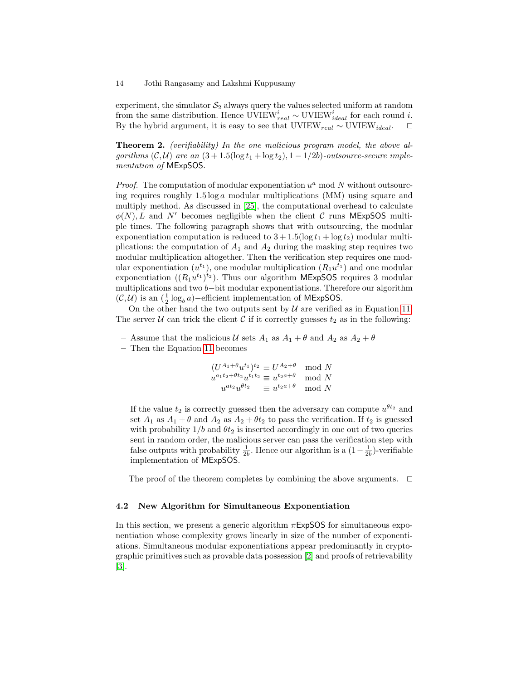experiment, the simulator  $S_2$  always query the values selected uniform at random from the same distribution. Hence UVIEW $_{real}^{i} \sim$  UVIEW $_{ideal}^{i}$  for each round *i*. By the hybrid argument, it is easy to see that UVIEW<sub>real</sub> ∼ UVIEW<sub>ideal</sub>.  $\square$ 

<span id="page-13-0"></span>Theorem 2. (verifiability) In the one malicious program model, the above algorithms  $(C, U)$  are an  $(3 + 1.5(\log t_1 + \log t_2), 1 - 1/2b)$ -outsource-secure implementation of MExpSOS.

*Proof.* The computation of modular exponentiation  $u^a$  mod N without outsourcing requires roughly  $1.5 \log a$  modular multiplications (MM) using square and multiply method. As discussed in [\[25\]](#page-17-7), the computational overhead to calculate  $\phi(N)$ , L and N' becomes negligible when the client C runs MExpSOS multiple times. The following paragraph shows that with outsourcing, the modular exponentiation computation is reduced to  $3 + 1.5(\log t_1 + \log t_2)$  modular multiplications: the computation of  $A_1$  and  $A_2$  during the masking step requires two modular multiplication altogether. Then the verification step requires one modular exponentiation  $(u^{t_1})$ , one modular multiplication  $(R_1u^{t_1})$  and one modular exponentiation  $((R_1u^{t_1})^{t_2})$ . Thus our algorithm MExpSOS requires 3 modular multiplications and two b−bit modular exponentiations. Therefore our algorithm  $(C, U)$  is an  $(\frac{1}{2} \log_b a)$ −efficient implementation of MExpSOS.

On the other hand the two outputs sent by  $U$  are verified as in Equation [11.](#page-14-0) The server U can trick the client C if it correctly guesses  $t_2$  as in the following:

- Assume that the malicious U sets  $A_1$  as  $A_1 + \theta$  and  $A_2$  as  $A_2 + \theta$
- Then the Equation [11](#page-14-0) becomes

$$
(U^{A_1+\theta}u^{t_1})^{t_2} \equiv U^{A_2+\theta} \mod N
$$
  

$$
u^{a_1t_2+\theta t_2}u^{t_1t_2} \equiv u^{t_2a+\theta} \mod N
$$
  

$$
u^{at_2}u^{\theta t_2} \equiv u^{t_2a+\theta} \mod N
$$

If the value  $t_2$  is correctly guessed then the adversary can compute  $u^{\theta t_2}$  and set  $A_1$  as  $A_1 + \theta$  and  $A_2$  as  $A_2 + \theta t_2$  to pass the verification. If  $t_2$  is guessed with probability  $1/b$  and  $\theta t_2$  is inserted accordingly in one out of two queries sent in random order, the malicious server can pass the verification step with false outputs with probability  $\frac{1}{2b}$ . Hence our algorithm is a  $(1 - \frac{1}{2b})$ -verifiable implementation of MExpSOS.

The proof of the theorem completes by combining the above arguments.  $\Box$ 

## 4.2 New Algorithm for Simultaneous Exponentiation

In this section, we present a generic algorithm  $\pi$ **ExpSOS** for simultaneous exponentiation whose complexity grows linearly in size of the number of exponentiations. Simultaneous modular exponentiations appear predominantly in cryptographic primitives such as provable data possession [\[2\]](#page-16-5) and proofs of retrievability [\[3\]](#page-16-6).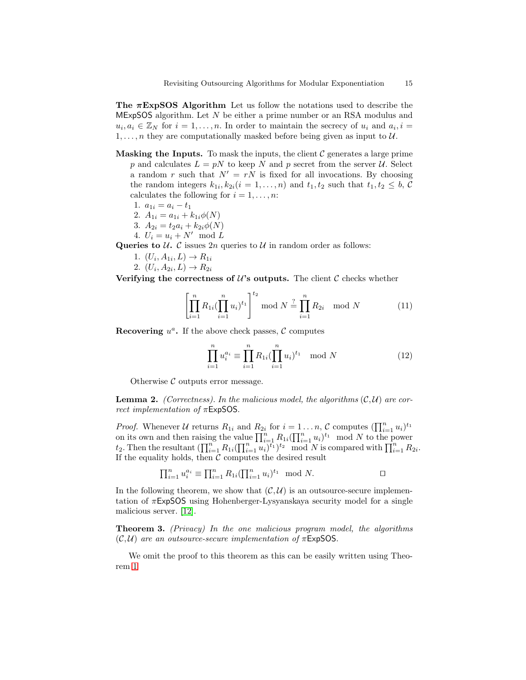The  $\pi$ ExpSOS Algorithm Let us follow the notations used to describe the  $MExpSOS$  algorithm. Let  $N$  be either a prime number or an RSA modulus and  $u_i, a_i \in \mathbb{Z}_N$  for  $i = 1, ..., n$ . In order to maintain the secrecy of  $u_i$  and  $a_i, i =$  $1, \ldots, n$  they are computationally masked before being given as input to  $\mathcal{U}$ .

- **Masking the Inputs.** To mask the inputs, the client  $\mathcal{C}$  generates a large prime p and calculates  $L = pN$  to keep N and p secret from the server U. Select a random r such that  $N' = rN$  is fixed for all invocations. By choosing the random integers  $k_{1i}$ ,  $k_{2i}$  ( $i = 1, ..., n$ ) and  $t_1, t_2$  such that  $t_1, t_2 \leq b$ , C calculates the following for  $i = 1, \ldots, n$ :
	- 1.  $a_{1i} = a_i t_1$
	- 2.  $A_{1i} = a_{1i} + k_{1i}\phi(N)$
	- 3.  $A_{2i} = t_2 a_i + k_{2i} \phi(N)$
	- 4.  $U_i = u_i + N' \mod L$

Queries to  $U$ . C issues  $2n$  queries to  $U$  in random order as follows:

- 1.  $(U_i, A_{1i}, L) \to R_{1i}$
- 2.  $(U_i, A_{2i}, L) \to R_{2i}$

Verifying the correctness of  $\mathcal{U}$ 's outputs. The client  $\mathcal{C}$  checks whether

<span id="page-14-0"></span>
$$
\left[\prod_{i=1}^{n} R_{1i}(\prod_{i=1}^{n} u_i)^{t_1}\right]^{t_2} \text{ mod } N \stackrel{?}{=} \prod_{i=1}^{n} R_{2i} \mod N \tag{11}
$$

Recovering  $u^a$ . If the above check passes,  $\mathcal C$  computes

$$
\prod_{i=1}^{n} u_i^{a_i} \equiv \prod_{i=1}^{n} R_{1i} (\prod_{i=1}^{n} u_i)^{t_1} \mod N
$$
 (12)

Otherwise  $\mathcal C$  outputs error message.

**Lemma 2.** (Correctness). In the malicious model, the algorithms  $(C, U)$  are correct implementation of πExpSOS.

*Proof.* Whenever U returns  $R_{1i}$  and  $R_{2i}$  for  $i = 1...n$ , C computes  $(\prod_{i=1}^{n} u_i)^{t_1}$ on its own and then raising the value  $\prod_{i=1}^n R_{1i} (\prod_{i=1}^n u_i)^{t_1} \mod N$  to the power  $t_2$ . Then the resultant  $\left(\prod_{i=1}^n R_{1i}(\prod_{i=1}^n u_i)^{t_1}\right)^{t_2} \mod N$  is compared with  $\prod_{i=1}^n R_{2i}$ . If the equality holds, then  $C$  computes the desired result

$$
\prod_{i=1}^{n} u_i^{a_i} \equiv \prod_{i=1}^{n} R_{1i} (\prod_{i=1}^{n} u_i)^{t_1} \mod N.
$$

In the following theorem, we show that  $(C, U)$  is an outsource-secure implementation of  $\pi$ ExpSOS using Hohenberger-Lysyanskaya security model for a single malicious server. [\[12\]](#page-16-7).

Theorem 3. (Privacy) In the one malicious program model, the algorithms  $(C, U)$  are an outsource-secure implementation of  $\pi$ ExpSOS.

We omit the proof to this theorem as this can be easily written using Theorem [1](#page-12-0)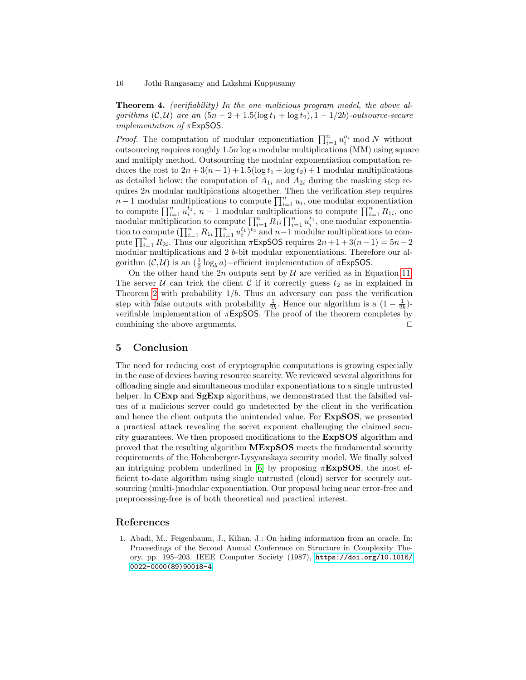Theorem 4. (verifiability) In the one malicious program model, the above algorithms  $(C, U)$  are an  $(5n - 2 + 1.5(\log t_1 + \log t_2), 1 - 1/2b)$ -outsource-secure *implementation of*  $\pi$ **ExpSOS.** 

*Proof.* The computation of modular exponentiation  $\prod_{i=1}^{n} u_i^{a_i} \mod N$  without outsourcing requires roughly  $1.5n \log a$  modular multiplications (MM) using square and multiply method. Outsourcing the modular exponentiation computation reduces the cost to  $2n + 3(n - 1) + 1.5(\log t_1 + \log t_2) + 1$  modular multiplications as detailed below: the computation of  $A_{1i}$  and  $A_{2i}$  during the masking step requires  $2n$  modular multipications altogether. Then the verification step requires  $n-1$  modular multiplications to compute  $\prod_{i=1}^{n} u_i$ , one modular exponentiation to compute  $\prod_{i=1}^n u_i^{t_1}, n-1$  modular multiplications to compute  $\prod_{i=1}^n R_{1i}$ , one modular multiplication to compute  $\prod_{i=1}^n R_{1i} \prod_{i=1}^n u_i^{t_1}$ , one modular exponentiation to compute  $(\prod_{i=1}^n R_{1i} \prod_{i=1}^n u_i^{t_1})^{t_2}$  and  $n-1$  modular multiplications to compute  $\prod_{i=1}^{n} R_{2i}$ . Thus our algorithm  $\pi$ ExpSOS requires  $2n+1+3(n-1) = 5n-2$ modular multiplications and 2 b-bit modular exponentiations. Therefore our algorithm  $(C, U)$  is an  $(\frac{1}{2} \log_b a)$ -efficient implementation of  $\pi \mathsf{ExpSOS}$ .

On the other hand the 2n outputs sent by  $U$  are verified as in Equation [11.](#page-14-0) The server U can trick the client C if it correctly guess  $t_2$  as in explained in Theorem [2](#page-13-0) with probability  $1/b$ . Thus an adversary can pass the verification step with false outputs with probability  $\frac{1}{2b}$ . Hence our algorithm is a  $(1 - \frac{1}{2b})$ verifiable implementation of  $\pi$ ExpSOS. The proof of the theorem completes by combining the above arguments.  $\square$ 

## <span id="page-15-1"></span>5 Conclusion

The need for reducing cost of cryptographic computations is growing especially in the case of devices having resource scarcity. We reviewed several algorithms for offloading single and simultaneous modular exponentiations to a single untrusted helper. In CExp and SgExp algorithms, we demonstrated that the falsified values of a malicious server could go undetected by the client in the verification and hence the client outputs the unintended value. For ExpSOS, we presented a practical attack revealing the secret exponent challenging the claimed security guarantees. We then proposed modifications to the ExpSOS algorithm and proved that the resulting algorithm MExpSOS meets the fundamental security requirements of the Hohenberger-Lysyanskaya security model. We finally solved an intriguing problem underlined in [\[6\]](#page-16-0) by proposing  $\pi$ **ExpSOS**, the most efficient to-date algorithm using single untrusted (cloud) server for securely outsourcing (multi-)modular exponentiation. Our proposal being near error-free and preprocessing-free is of both theoretical and practical interest.

# References

<span id="page-15-0"></span>1. Abadi, M., Feigenbaum, J., Kilian, J.: On hiding information from an oracle. In: Proceedings of the Second Annual Conference on Structure in Complexity Theory. pp. 195–203. IEEE Computer Society (1987), [https://doi.org/10.1016/](https://doi.org/10.1016/0022-0000(89)90018-4) [0022-0000\(89\)90018-4](https://doi.org/10.1016/0022-0000(89)90018-4)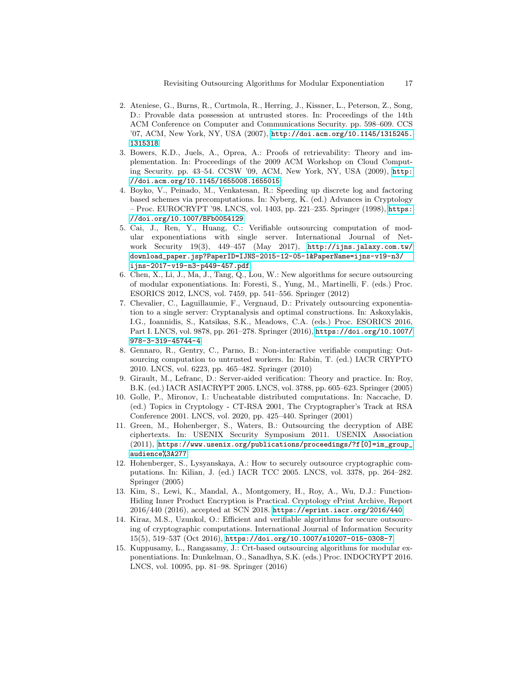- <span id="page-16-5"></span>2. Ateniese, G., Burns, R., Curtmola, R., Herring, J., Kissner, L., Peterson, Z., Song, D.: Provable data possession at untrusted stores. In: Proceedings of the 14th ACM Conference on Computer and Communications Security. pp. 598–609. CCS '07, ACM, New York, NY, USA (2007), [http://doi.acm.org/10.1145/1315245.](http://doi.acm.org/10.1145/1315245.1315318) [1315318](http://doi.acm.org/10.1145/1315245.1315318)
- <span id="page-16-6"></span>3. Bowers, K.D., Juels, A., Oprea, A.: Proofs of retrievability: Theory and implementation. In: Proceedings of the 2009 ACM Workshop on Cloud Computing Security. pp. 43–54. CCSW '09, ACM, New York, NY, USA (2009), [http:](http://doi.acm.org/10.1145/1655008.1655015) [//doi.acm.org/10.1145/1655008.1655015](http://doi.acm.org/10.1145/1655008.1655015)
- <span id="page-16-12"></span>4. Boyko, V., Peinado, M., Venkatesan, R.: Speeding up discrete log and factoring based schemes via precomputations. In: Nyberg, K. (ed.) Advances in Cryptology – Proc. EUROCRYPT '98. LNCS, vol. 1403, pp. 221–235. Springer (1998), [https:](https://doi.org/10.1007/BFb0054129) [//doi.org/10.1007/BFb0054129](https://doi.org/10.1007/BFb0054129)
- <span id="page-16-11"></span>5. Cai, J., Ren, Y., Huang, C.: Verifiable outsourcing computation of modular exponentiations with single server. International Journal of Network Security 19(3), 449–457 (May 2017), [http://ijns.jalaxy.com.tw/](http://ijns.jalaxy.com.tw/download_paper.jsp?PaperID=IJNS-2015-12-05-1&PaperName=ijns-v19-n3/ijns-2017-v19-n3-p449-457.pdf) [download\\_paper.jsp?PaperID=IJNS-2015-12-05-1&PaperName=ijns-v19-n3/](http://ijns.jalaxy.com.tw/download_paper.jsp?PaperID=IJNS-2015-12-05-1&PaperName=ijns-v19-n3/ijns-2017-v19-n3-p449-457.pdf) [ijns-2017-v19-n3-p449-457.pdf](http://ijns.jalaxy.com.tw/download_paper.jsp?PaperID=IJNS-2015-12-05-1&PaperName=ijns-v19-n3/ijns-2017-v19-n3-p449-457.pdf)
- <span id="page-16-0"></span>6. Chen, X., Li, J., Ma, J., Tang, Q., Lou, W.: New algorithms for secure outsourcing of modular exponentiations. In: Foresti, S., Yung, M., Martinelli, F. (eds.) Proc. ESORICS 2012, LNCS, vol. 7459, pp. 541–556. Springer (2012)
- <span id="page-16-9"></span>7. Chevalier, C., Laguillaumie, F., Vergnaud, D.: Privately outsourcing exponentiation to a single server: Cryptanalysis and optimal constructions. In: Askoxylakis, I.G., Ioannidis, S., Katsikas, S.K., Meadows, C.A. (eds.) Proc. ESORICS 2016, Part I. LNCS, vol. 9878, pp. 261–278. Springer (2016), [https://doi.org/10.1007/](https://doi.org/10.1007/978-3-319-45744-4) [978-3-319-45744-4](https://doi.org/10.1007/978-3-319-45744-4)
- <span id="page-16-3"></span>8. Gennaro, R., Gentry, C., Parno, B.: Non-interactive verifiable computing: Outsourcing computation to untrusted workers. In: Rabin, T. (ed.) IACR CRYPTO 2010. LNCS, vol. 6223, pp. 465–482. Springer (2010)
- <span id="page-16-2"></span>9. Girault, M., Lefranc, D.: Server-aided verification: Theory and practice. In: Roy, B.K. (ed.) IACR ASIACRYPT 2005. LNCS, vol. 3788, pp. 605–623. Springer (2005)
- <span id="page-16-1"></span>10. Golle, P., Mironov, I.: Uncheatable distributed computations. In: Naccache, D. (ed.) Topics in Cryptology - CT-RSA 2001, The Cryptographer's Track at RSA Conference 2001. LNCS, vol. 2020, pp. 425–440. Springer (2001)
- <span id="page-16-4"></span>11. Green, M., Hohenberger, S., Waters, B.: Outsourcing the decryption of ABE ciphertexts. In: USENIX Security Symposium 2011. USENIX Association (2011), [https://www.usenix.org/publications/proceedings/?f\[0\]=im\\_group\\_](https://www.usenix.org/publications/proceedings/?f[0]=im_group_audience%3A277) [audience%3A277](https://www.usenix.org/publications/proceedings/?f[0]=im_group_audience%3A277)
- <span id="page-16-7"></span>12. Hohenberger, S., Lysyanskaya, A.: How to securely outsource cryptographic computations. In: Kilian, J. (ed.) IACR TCC 2005. LNCS, vol. 3378, pp. 264–282. Springer (2005)
- <span id="page-16-13"></span>13. Kim, S., Lewi, K., Mandal, A., Montgomery, H., Roy, A., Wu, D.J.: Function-Hiding Inner Product Encryption is Practical. Cryptology ePrint Archive, Report 2016/440 (2016), accepted at SCN 2018. <https://eprint.iacr.org/2016/440>
- <span id="page-16-10"></span>14. Kiraz, M.S., Uzunkol, O.: Efficient and verifiable algorithms for secure outsourcing of cryptographic computations. International Journal of Information Security 15(5), 519–537 (Oct 2016), <https://doi.org/10.1007/s10207-015-0308-7>
- <span id="page-16-8"></span>15. Kuppusamy, L., Rangasamy, J.: Crt-based outsourcing algorithms for modular exponentiations. In: Dunkelman, O., Sanadhya, S.K. (eds.) Proc. INDOCRYPT 2016. LNCS, vol. 10095, pp. 81–98. Springer (2016)